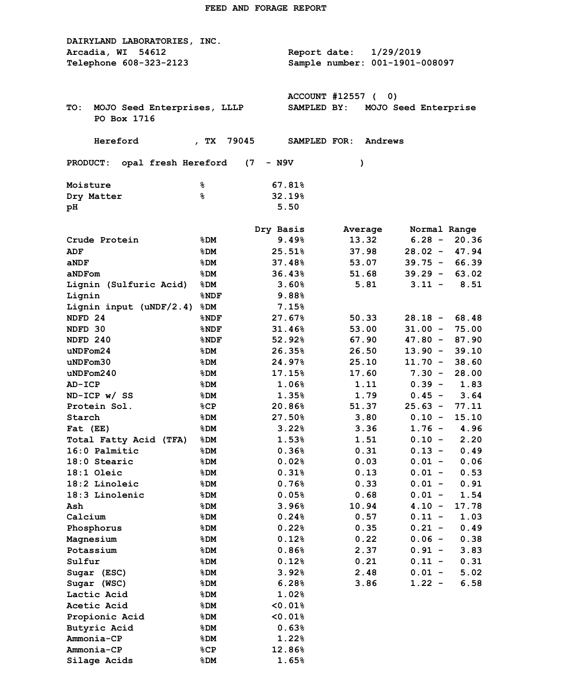| DAIRYLAND LABORATORIES, INC.<br>Arcadia, WI<br>54612<br>Telephone 608-323-2123 |               | Report date:                    | 1/29/2019<br>Sample number: 001-1901-008097          |  |  |  |  |  |
|--------------------------------------------------------------------------------|---------------|---------------------------------|------------------------------------------------------|--|--|--|--|--|
| TO:<br>MOJO Seed Enterprises, LLLP<br>PO Box 1716                              |               | ACCOUNT #12557 (<br>SAMPLED BY: | 0)<br>MOJO Seed Enterprise                           |  |  |  |  |  |
| Hereford                                                                       | 79045<br>, TX | SAMPLED FOR:                    | Andrews                                              |  |  |  |  |  |
| - N9V<br><b>PRODUCT:</b><br>opal fresh Hereford<br>(7)<br>$\lambda$            |               |                                 |                                                      |  |  |  |  |  |
| Moisture                                                                       | နွ            | 67.81%                          |                                                      |  |  |  |  |  |
| Dry Matter                                                                     | ៖             | 32.19%                          |                                                      |  |  |  |  |  |
| рH                                                                             |               | 5.50                            |                                                      |  |  |  |  |  |
|                                                                                | Dry Basis     |                                 | Average<br>Normal Range                              |  |  |  |  |  |
| Crude Protein                                                                  | %DM           | 9.49%                           | 13.32<br>$6.28 -$<br>20.36                           |  |  |  |  |  |
| <b>ADF</b>                                                                     | %DM           | 25.51%                          | 37.98<br>$28.02 -$<br>47.94                          |  |  |  |  |  |
| aNDF                                                                           | %DM           | 37.48%                          | 53.07<br>$39.75 -$<br>66.39                          |  |  |  |  |  |
| aNDFom                                                                         | %DM           | 36.43%                          | $39.29 -$<br>63.02<br>51.68                          |  |  |  |  |  |
| Lignin (Sulfuric Acid)                                                         | %DM           | 3.60%                           | 8.51<br>5.81<br>$3.11 -$                             |  |  |  |  |  |
| Lignin                                                                         | %NDF          | 9.88%                           |                                                      |  |  |  |  |  |
| Lignin input (uNDF/2.4)                                                        | %DM           | 7.15%                           |                                                      |  |  |  |  |  |
| NDFD <sub>24</sub>                                                             | %NDF          | 27.67%                          | $28.18 -$<br>68.48<br>50.33                          |  |  |  |  |  |
| NDFD 30                                                                        | %NDF          | 31.46%                          | 53.00<br>$31.00 -$<br>75.00                          |  |  |  |  |  |
| NDFD 240                                                                       | %NDF          | $52.92\%$                       | 67.90<br>$47.80 -$<br>87.90                          |  |  |  |  |  |
| uNDFrom24                                                                      | %DM           | 26.35%                          | 26.50<br>$13.90 -$<br>39.10                          |  |  |  |  |  |
| $u$ ND $F$ om $30$                                                             | %DM           | 24.97%                          | $11.70 -$<br>38.60<br>25.10                          |  |  |  |  |  |
| uNDFrom240                                                                     | %DM           | 17.15%                          | 17.60<br>$7.30 -$<br>28.00                           |  |  |  |  |  |
| <b>AD-ICP</b>                                                                  | %DM           | 1.06%                           | 1.11<br>$0.39 -$<br>1.83                             |  |  |  |  |  |
| $ND-ICP$ w/ SS                                                                 | %DM           | 1.35%                           | 1.79<br>3.64<br>$0.45 -$                             |  |  |  |  |  |
| Protein Sol.                                                                   | %CP           | 20.86%                          | 51.37<br>$25.63 -$<br>77.11                          |  |  |  |  |  |
| Starch                                                                         | %DM           | 27.50%                          | 3.80<br>$0.10 -$<br>15.10                            |  |  |  |  |  |
| Fat (EE)                                                                       | %DM<br>$8$ DM | 3.22%                           | 3.36<br>$1.76 -$<br>4.96<br>$0.10 -$<br>2.20<br>1.51 |  |  |  |  |  |
| Total Fatty Acid (TFA)                                                         |               | $1.53\%$<br>0.36%               | 0.31<br>0.49<br>$0.13 -$                             |  |  |  |  |  |
| 16:0 Palmitic<br>18:0 Stearic                                                  | %DM<br>%DM    | 0.02%                           | 0.03<br>$0.01 -$<br>0.06                             |  |  |  |  |  |
| $18:1$ Oleic                                                                   | %DM           | 0.31%                           | 0.13<br>$0.01 -$<br>0.53                             |  |  |  |  |  |
| 18:2 Linoleic                                                                  | %DM           | 0.76%                           | 0.33<br>$0.01 -$<br>0.91                             |  |  |  |  |  |
| 18:3 Linolenic                                                                 | %DM           | 0.05%                           | 0.68<br>$0.01 -$<br>1.54                             |  |  |  |  |  |
| Ash                                                                            | %DM           | 3.96%                           | 10.94<br>17.78<br>$4.10 -$                           |  |  |  |  |  |
| Calcium                                                                        | %DM           | 0.24%                           | 1.03<br>0.57<br>$0.11 -$                             |  |  |  |  |  |
| Phosphorus                                                                     | %DM           | 0.22%                           | 0.49<br>0.35<br>$0.21 -$                             |  |  |  |  |  |
| Magnesium                                                                      | %DM           | 0.12%                           | 0.22<br>0.38<br>$0.06 -$                             |  |  |  |  |  |
| Potassium                                                                      | %DM           | 0.86%                           | 2.37<br>$0.91 -$<br>3.83                             |  |  |  |  |  |
| Sulfur                                                                         | %DM           | 0.12%                           | 0.21<br>0.31<br>$0.11 -$                             |  |  |  |  |  |
| Sugar (ESC)                                                                    | %DM           | 3.92%                           | 2.48<br>5.02<br>$0.01 -$                             |  |  |  |  |  |
| Sugar (WSC)                                                                    | %DM           | 6.28%                           | 3.86<br>$1.22 -$<br>6.58                             |  |  |  |  |  |
| Lactic Acid                                                                    | %DM           | $1.02\%$                        |                                                      |  |  |  |  |  |
| Acetic Acid                                                                    | %DM           | $0.01$ <sup>8</sup>             |                                                      |  |  |  |  |  |
| Propionic Acid                                                                 | %DM           | $< 0.01$ <sup>8</sup>           |                                                      |  |  |  |  |  |
| Butyric Acid                                                                   | %DM           | 0.63%                           |                                                      |  |  |  |  |  |
| Ammonia-CP                                                                     | %DM           | 1.22%                           |                                                      |  |  |  |  |  |
| Ammonia-CP                                                                     | %CP           | 12.86%                          |                                                      |  |  |  |  |  |
| Silage Acids                                                                   | %DM           | $1.65\%$                        |                                                      |  |  |  |  |  |